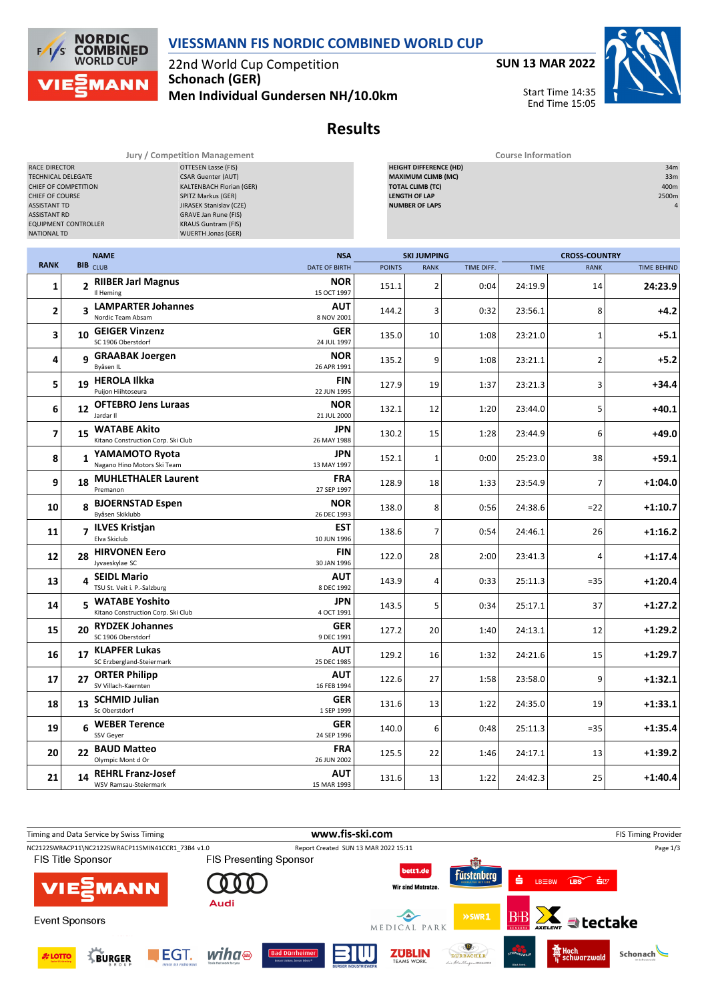

22nd World Cup Competition **Schonach (GER)**

**NORDIC<br>COMBINED** 

**MANN** 

**WORLD CUP** 

 $F/1/S$ 

**Men Individual Gundersen NH/10.0km**





**Results**

| Jury / Competition Management                                                                                                                                                            |    |                                                                                                                                                                                                                  |                           | <b>Course Information</b>                                                                                                              |                    |            |             |                      |                    |  |
|------------------------------------------------------------------------------------------------------------------------------------------------------------------------------------------|----|------------------------------------------------------------------------------------------------------------------------------------------------------------------------------------------------------------------|---------------------------|----------------------------------------------------------------------------------------------------------------------------------------|--------------------|------------|-------------|----------------------|--------------------|--|
| <b>RACE DIRECTOR</b><br>TECHNICAL DELEGATE<br>CHIEF OF COMPETITION<br>CHIEF OF COURSE<br><b>ASSISTANT TD</b><br><b>ASSISTANT RD</b><br><b>EQUIPMENT CONTROLLER</b><br><b>NATIONAL TD</b> |    | OTTESEN Lasse (FIS)<br><b>CSAR Guenter (AUT)</b><br>KALTENBACH Florian (GER)<br>SPITZ Markus (GER)<br>JIRASEK Stanislav (CZE)<br>GRAVE Jan Rune (FIS)<br><b>KRAUS Guntram (FIS)</b><br><b>WUERTH Jonas (GER)</b> |                           | <b>HEIGHT DIFFERENCE (HD)</b><br><b>MAXIMUM CLIMB (MC)</b><br><b>TOTAL CLIMB (TC)</b><br><b>LENGTH OF LAP</b><br><b>NUMBER OF LAPS</b> |                    |            |             |                      |                    |  |
|                                                                                                                                                                                          |    | <b>NAME</b>                                                                                                                                                                                                      | <b>NSA</b>                |                                                                                                                                        | <b>SKI JUMPING</b> |            |             | <b>CROSS-COUNTRY</b> |                    |  |
| <b>RANK</b>                                                                                                                                                                              |    | BIB CLUB                                                                                                                                                                                                         | <b>DATE OF BIRTH</b>      | <b>POINTS</b>                                                                                                                          | <b>RANK</b>        | TIME DIFF. | <b>TIME</b> | <b>RANK</b>          | <b>TIME BEHIND</b> |  |
| 1                                                                                                                                                                                        |    | 2 RIIBER Jarl Magnus<br>Il Heming                                                                                                                                                                                | <b>NOR</b><br>15 OCT 1997 | 151.1                                                                                                                                  | $\overline{2}$     | 0:04       | 24:19.9     | 14                   | 24:23.9            |  |
| 2                                                                                                                                                                                        |    | 3 LAMPARTER Johannes<br>Nordic Team Absam                                                                                                                                                                        | AUT<br>8 NOV 2001         | 144.2                                                                                                                                  | 3                  | 0:32       | 23:56.1     | 8                    | +4.2               |  |
| 3                                                                                                                                                                                        | 10 | <b>GEIGER Vinzenz</b><br>SC 1906 Oberstdorf                                                                                                                                                                      | GER<br>24 JUL 1997        | 135.0                                                                                                                                  | 10                 | 1:08       | 23:21.0     | 1                    | $+5.1$             |  |
| 4                                                                                                                                                                                        | 9  | <b>GRAABAK Joergen</b><br>Byåsen IL                                                                                                                                                                              | <b>NOR</b><br>26 APR 1991 | 135.2                                                                                                                                  | 9                  | 1:08       | 23:21.1     | 2                    | $+5.2$             |  |
| 5                                                                                                                                                                                        |    | 19 HEROLA Ilkka                                                                                                                                                                                                  | FIN<br>22 JUN 1995        | 127.9                                                                                                                                  | 19                 | 1:37       | 23:21.3     | 3                    | +34.4              |  |
| 6                                                                                                                                                                                        | 12 | <b>OFTEBRO Jens Luraas</b><br>Jardar II                                                                                                                                                                          | <b>NOR</b><br>21 JUL 2000 | 132.1                                                                                                                                  | 12                 | 1:20       | 23:44.0     | 5                    | $+40.1$            |  |
| 7                                                                                                                                                                                        | 15 | <b>WATABE Akito</b><br>Kitano Construction Corp. Ski Club                                                                                                                                                        | JPN<br>26 MAY 1988        | 130.2                                                                                                                                  | 15                 | 1:28       | 23:44.9     | 6                    | $+49.0$            |  |
| 8                                                                                                                                                                                        |    | 1 YAMAMOTO Ryota<br>Nagano Hino Motors Ski Team                                                                                                                                                                  | JPN<br>13 MAY 1997        | 152.1                                                                                                                                  | $\mathbf{1}$       | 0:00       | 25:23.0     | 38                   | $+59.1$            |  |
| 9                                                                                                                                                                                        |    | 18 MUHLETHALER Laurent<br>Premanon                                                                                                                                                                               | <b>FRA</b><br>27 SEP 1997 | 128.9                                                                                                                                  | 18                 | 1:33       | 23:54.9     | 7                    | $+1:04.0$          |  |
| 10                                                                                                                                                                                       |    | 8 BJOERNSTAD Espen<br>Byåsen Skiklubb                                                                                                                                                                            | <b>NOR</b><br>26 DEC 1993 | 138.0                                                                                                                                  | 8                  | 0:56       | 24:38.6     | $= 22$               | $+1:10.7$          |  |
| 11                                                                                                                                                                                       |    | 7 ILVES Kristjan<br>Elva Skiclub                                                                                                                                                                                 | EST<br>10 JUN 1996        | 138.6                                                                                                                                  | $\overline{7}$     | 0:54       | 24:46.1     | 26                   | $+1:16.2$          |  |
| 12                                                                                                                                                                                       | 28 | <b>HIRVONEN Eero</b><br>Jyvaeskylae SC                                                                                                                                                                           | FIN<br>30 JAN 1996        | 122.0                                                                                                                                  | 28                 | 2:00       | 23:41.3     | 4                    | $+1:17.4$          |  |
| 13                                                                                                                                                                                       |    | 4 SEIDL Mario<br>TSU St. Veit i. P.-Salzburg                                                                                                                                                                     | AUT<br>8 DEC 1992         | 143.9                                                                                                                                  | 4                  | 0:33       | 25:11.3     | $= 35$               | $+1:20.4$          |  |
| 14                                                                                                                                                                                       |    | 5 WATABE Yoshito<br>Kitano Construction Corp. Ski Club                                                                                                                                                           | JPN<br>4 OCT 1991         | 143.5                                                                                                                                  | 5                  | 0:34       | 25:17.1     | 37                   | +1:27.2            |  |
| 15                                                                                                                                                                                       | 20 | <b>RYDZEK Johannes</b><br>SC 1906 Oberstdorf                                                                                                                                                                     | GER<br>9 DEC 1991         | 127.2                                                                                                                                  | 20                 | 1:40       | 24:13.1     | 12                   | +1:29.2            |  |
| 16                                                                                                                                                                                       | 17 | <b>KLAPFER Lukas</b><br>SC Erzbergland-Steiermark                                                                                                                                                                | AUT<br>25 DEC 1985        | 129.2                                                                                                                                  | 16                 | 1:32       | 24:21.6     | 15                   | $+1:29.7$          |  |
| 17                                                                                                                                                                                       |    | 27 ORTER Philipp<br>SV Villach-Kaernten                                                                                                                                                                          | <b>AUT</b><br>16 FEB 1994 | 122.6                                                                                                                                  | 27                 | 1:58       | 23:58.0     | 9                    | $+1:32.1$          |  |
| 18                                                                                                                                                                                       | 13 | <b>SCHMID Julian</b><br>Sc Oberstdorf                                                                                                                                                                            | <b>GER</b><br>1 SEP 1999  | 131.6                                                                                                                                  | 13                 | 1:22       | 24:35.0     | 19                   | $+1:33.1$          |  |
| 19                                                                                                                                                                                       | 6  | <b>WEBER Terence</b><br>SSV Geyer                                                                                                                                                                                | <b>GER</b><br>24 SEP 1996 | 140.0                                                                                                                                  | 6                  | 0:48       | 25:11.3     | $= 35$               | $+1:35.4$          |  |
| 20                                                                                                                                                                                       | 22 | <b>BAUD Matteo</b><br>Olympic Mont d Or                                                                                                                                                                          | <b>FRA</b><br>26 JUN 2002 | 125.5                                                                                                                                  | 22                 | 1:46       | 24:17.1     | 13                   | $+1:39.2$          |  |
| 21                                                                                                                                                                                       | 14 | <b>REHRL Franz-Josef</b><br>WSV Ramsau-Steiermark                                                                                                                                                                | <b>AUT</b><br>15 MAR 1993 | 131.6                                                                                                                                  | 13                 | 1:22       | 24:42.3     | 25                   | $+1:40.4$          |  |

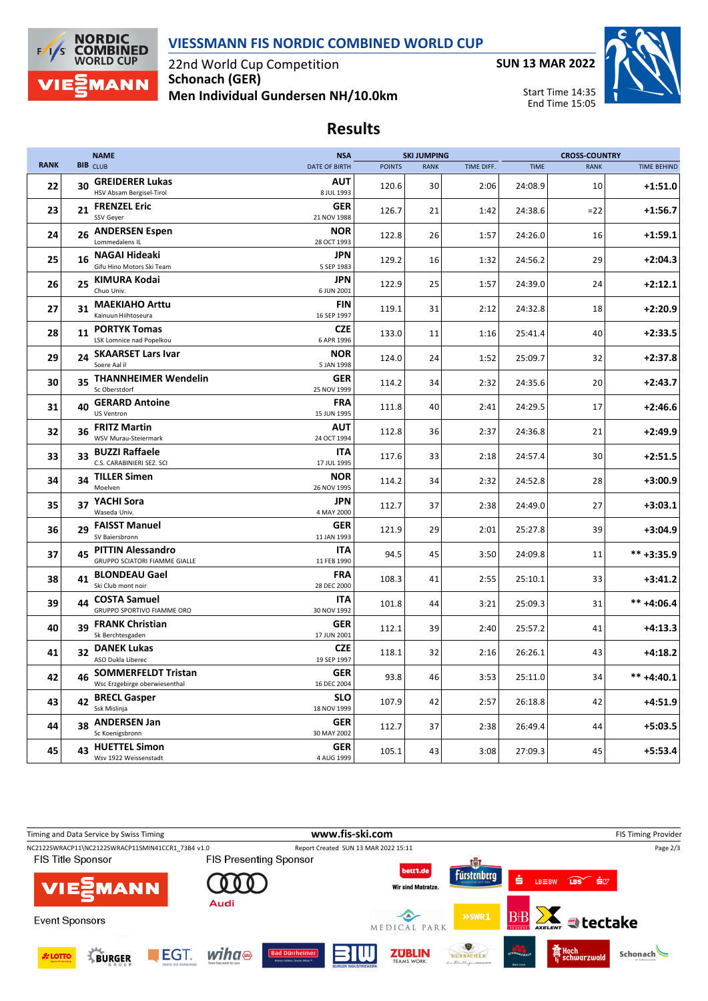



**NORDIC<br>COMBINED**<br>WORLD CUP

**MANN** 

 $F/1/s$ 

**SUN 13 MAR 2022**



Start Time 14:35 End Time 15:05

## **Results**

|             |    | <b>NAME</b>                                                      | <b>NSA</b>                |               | <b>SKI JUMPING</b> |            | <b>CROSS-COUNTRY</b> |             |                    |
|-------------|----|------------------------------------------------------------------|---------------------------|---------------|--------------------|------------|----------------------|-------------|--------------------|
| <b>RANK</b> |    | <b>BIB</b> CLUB                                                  | <b>DATE OF BIRTH</b>      | <b>POINTS</b> | <b>RANK</b>        | TIME DIFF. | <b>TIME</b>          | <b>RANK</b> | <b>TIME BEHIND</b> |
| 22          | 30 | <b>GREIDERER Lukas</b><br>HSV Absam Bergisel-Tirol               | AUT<br>8 JUL 1993         | 120.6         | 30                 | 2:06       | 24:08.9              | 10          | $+1:51.0$          |
| 23          | 21 | <b>FRENZEL Eric</b><br>SSV Geyer                                 | GER<br>21 NOV 1988        | 126.7         | 21                 | 1:42       | 24:38.6              | $= 22$      | $+1:56.7$          |
| 24          | 26 | <b>ANDERSEN Espen</b><br>Lommedalens IL                          | <b>NOR</b><br>28 OCT 1993 | 122.8         | 26                 | 1:57       | 24:26.0              | 16          | $+1:59.1$          |
| 25          | 16 | <b>NAGAI Hideaki</b><br>Gifu Hino Motors Ski Team                | <b>JPN</b><br>5 SEP 1983  | 129.2         | 16                 | 1:32       | 24:56.2              | 29          | $+2:04.3$          |
| 26          |    | 25 KIMURA Kodai<br>Chuo Univ.                                    | <b>JPN</b><br>6 JUN 2001  | 122.9         | 25                 | 1:57       | 24:39.0              | 24          | $+2:12.1$          |
| 27          | 31 | <b>MAEKIAHO Arttu</b><br>Kainuun Hiihtoseura                     | FIN<br>16 SEP 1997        | 119.1         | 31                 | 2:12       | 24:32.8              | 18          | $+2:20.9$          |
| 28          | 11 | <b>PORTYK Tomas</b><br>LSK Lomnice nad Popelkou                  | <b>CZE</b><br>6 APR 1996  | 133.0         | 11                 | 1:16       | 25:41.4              | 40          | $+2:33.5$          |
| 29          | 24 | <b>SKAARSET Lars Ivar</b><br>Soere Aal il                        | <b>NOR</b><br>5 JAN 1998  | 124.0         | 24                 | 1:52       | 25:09.7              | 32          | $+2:37.8$          |
| 30          | 35 | <b>THANNHEIMER Wendelin</b><br>Sc Oberstdorf                     | GER<br>25 NOV 1999        | 114.2         | 34                 | 2:32       | 24:35.6              | 20          | $+2:43.7$          |
| 31          | 40 | <b>GERARD Antoine</b><br><b>US Ventron</b>                       | FRA<br>15 JUN 1995        | 111.8         | 40                 | 2:41       | 24:29.5              | 17          | $+2:46.6$          |
| 32          | 36 | <b>FRITZ Martin</b><br>WSV Murau-Steiermark                      | AUT<br>24 OCT 1994        | 112.8         | 36                 | 2:37       | 24:36.8              | 21          | $+2:49.9$          |
| 33          | 33 | <b>BUZZI Raffaele</b><br>C.S. CARABINIERI SEZ. SCI               | <b>ITA</b><br>17 JUL 1995 | 117.6         | 33                 | 2:18       | 24:57.4              | 30          | $+2:51.5$          |
| 34          | 34 | <b>TILLER Simen</b><br>Moelven                                   | <b>NOR</b><br>26 NOV 1995 | 114.2         | 34                 | 2:32       | 24:52.8              | 28          | $+3:00.9$          |
| 35          | 37 | YACHI Sora<br>Waseda Univ.                                       | <b>JPN</b><br>4 MAY 2000  | 112.7         | 37                 | 2:38       | 24:49.0              | 27          | $+3:03.1$          |
| 36          |    | 29 FAISST Manuel<br>SV Baiersbronn                               | <b>GER</b><br>11 JAN 1993 | 121.9         | 29                 | 2:01       | 25:27.8              | 39          | $+3:04.9$          |
| 37          | 45 | <b>PITTIN Alessandro</b><br><b>GRUPPO SCIATORI FIAMME GIALLE</b> | ITA<br>11 FEB 1990        | 94.5          | 45                 | 3:50       | 24:09.8              | 11          | ** +3:35.9         |
| 38          | 41 | <b>BLONDEAU Gael</b><br>Ski Club mont noir                       | FRA<br>28 DEC 2000        | 108.3         | 41                 | 2:55       | 25:10.1              | 33          | $+3:41.2$          |
| 39          | 44 | <b>COSTA Samuel</b><br>GRUPPO SPORTIVO FIAMME ORO                | ITA<br>30 NOV 1992        | 101.8         | 44                 | 3:21       | 25:09.3              | 31          | $*** +4:06.4$      |
| 40          | 39 | <b>FRANK Christian</b><br>Sk Berchtesgaden                       | GER<br>17 JUN 2001        | 112.1         | 39                 | 2:40       | 25:57.2              | 41          | +4:13.3            |
| 41          | 32 | <b>DANEK Lukas</b><br>ASO Dukla Liberec                          | <b>CZE</b><br>19 SEP 1997 | 118.1         | 32                 | 2:16       | 26:26.1              | 43          | $+4:18.2$          |
| 42          | 46 | <b>SOMMERFELDT Tristan</b><br>Wsc Erzgebirge oberwiesenthal      | GER<br>16 DEC 2004        | 93.8          | 46                 | 3:53       | 25:11.0              | 34          | $*** +4:40.1$      |
| 43          | 42 | <b>BRECL Gasper</b><br>Ssk Mislinja                              | <b>SLO</b><br>18 NOV 1999 | 107.9         | 42                 | 2:57       | 26:18.8              | 42          | $+4:51.9$          |
| 44          | 38 | <b>ANDERSEN Jan</b><br>Sc Koenigsbronn                           | GER<br>30 MAY 2002        | 112.7         | 37                 | 2:38       | 26:49.4              | 44          | $+5:03.5$          |
| 45          |    | 43 HUETTEL Simon<br>Wsv 1922 Weissenstadt                        | <b>GER</b><br>4 AUG 1999  | 105.1         | 43                 | 3:08       | 27:09.3              | 45          | $+5:53.4$          |